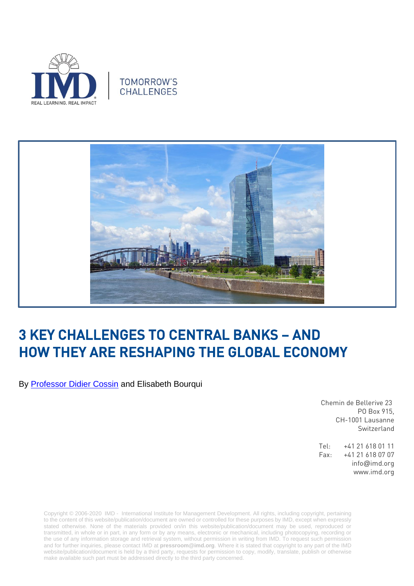





## 3 KEY CHALLENGES TO CENTRAL BANKS – AND HOW THEY ARE RESHAPING THE GLOBAL ECONOMY

By [Professor Didier Cossin](https://www.imd.org/faculty/professors/didier-cossin/) and Elisabeth Bourqui

Chemin de Bellerive 23 PO Box 915, CH-1001 Lausanne Switzerland

Tel: +41 21 618 01 11 Fax: +41 21 618 07 07 info@imd.org www.imd.org

Copyright © 2006-2020 IMD - International Institute for Management Development. All rights, including copyright, pertaining to the content of this website/publication/document are owned or controlled for these purposes by IMD, except when expressly stated otherwise. None of the materials provided on/in this website/publication/document may be used, reproduced or transmitted, in whole or in part, in any form or by any means, electronic or mechanical, including photocopying, recording or the use of any information storage and retrieval system, without permission in writing from IMD. To request such permission and for further inquiries, please contact IMD at **[pressroom@imd.org](mailto:pressroom@imd.org)**. Where it is stated that copyright to any part of the IMD website/publication/document is held by a third party, requests for permission to copy, modify, translate, publish or otherwise make available such part must be addressed directly to the third party concerned.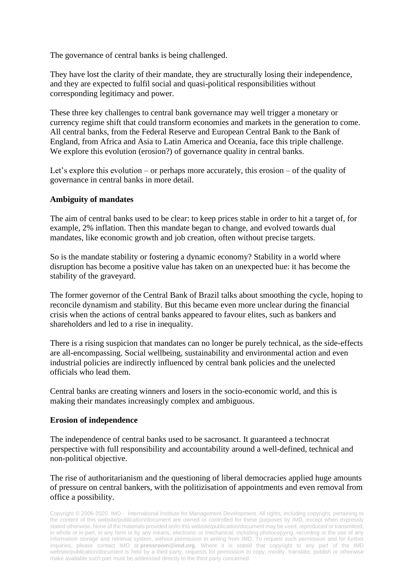The governance of central banks is being challenged.

They have lost the clarity of their mandate, they are structurally losing their independence, and they are expected to fulfil social and quasi-political responsibilities without corresponding legitimacy and power.

These three key challenges to central bank governance may well trigger a monetary or currency regime shift that could transform economies and markets in the generation to come. All central banks, from the Federal Reserve and European Central Bank to the Bank of England, from Africa and Asia to Latin America and Oceania, face this triple challenge. We explore this evolution (erosion?) of governance quality in central banks.

Let's explore this evolution – or perhaps more accurately, this erosion – of the quality of governance in central banks in more detail.

## **Ambiguity of mandates**

The aim of central banks used to be clear: to keep prices stable in order to hit a target of, for example, 2% inflation. Then this mandate began to change, and evolved towards dual mandates, like economic growth and job creation, often without precise targets.

So is the mandate stability or fostering a dynamic economy? Stability in a world where disruption has become a positive value has taken on an unexpected hue: it has become the stability of the graveyard.

The former governor of the Central Bank of Brazil talks about smoothing the cycle, hoping to reconcile dynamism and stability. But this became even more unclear during the financial crisis when the actions of central banks appeared to favour elites, such as bankers and shareholders and led to a rise in inequality.

There is a rising suspicion that mandates can no longer be purely technical, as the side-effects are all-encompassing. Social wellbeing, sustainability and environmental action and even industrial policies are indirectly influenced by central bank policies and the unelected officials who lead them.

Central banks are creating winners and losers in the socio-economic world, and this is making their mandates increasingly complex and ambiguous.

## **Erosion of independence**

The independence of central banks used to be sacrosanct. It guaranteed a technocrat perspective with full responsibility and accountability around a well-defined, technical and non-political objective.

The rise of authoritarianism and the questioning of liberal democracies applied huge amounts of pressure on central bankers, with the politizisation of appointments and even removal from office a possibility.

Copyright © 2006-2020 IMD - International Institute for Management Development. All rights, including copyright, pertaining to the content of this website/publication/document are owned or controlled for these purposes by IMD, except when expressly stated otherwise. None of the materials provided on/in this website/publication/document may be used, reproduced or transmitted, in whole or in part, in any form or by any means, electronic or mechanical, including photocopying, recording or the use of any information storage and retrieval system, without permission in writing from IMD. To request such permission and for further inquiries, please contact IMD at **[pressroom@imd.org](mailto:pressroom@imd.org)**. Where it is stated that copyright to any part of the IMD website/publication/document is held by a third party, requests for permission to copy, modify, translate, publish or otherwise make available such part must be addressed directly to the third party concerned.